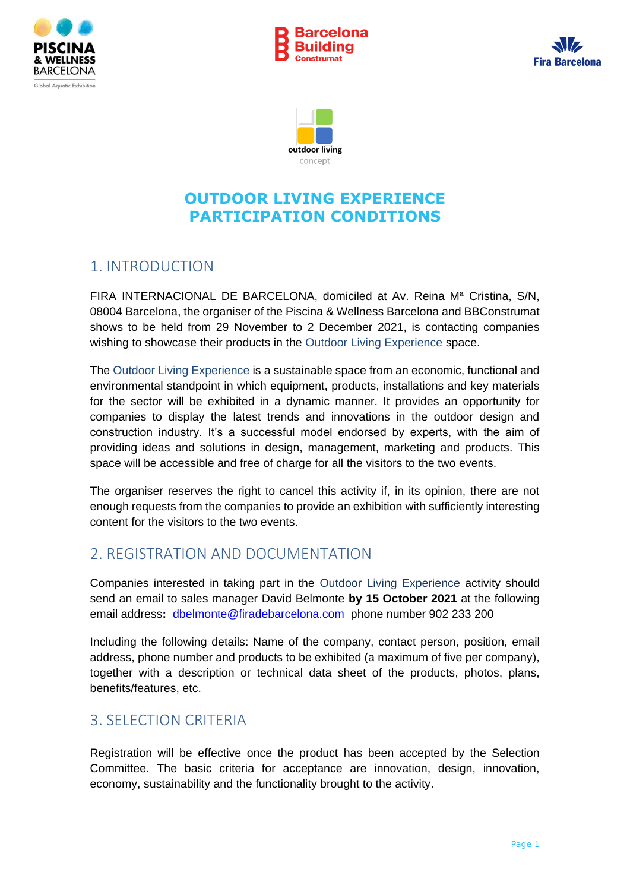







### 1. INTRODUCTION

FIRA INTERNACIONAL DE BARCELONA, domiciled at Av. Reina Mª Cristina, S/N, 08004 Barcelona, the organiser of the Piscina & Wellness Barcelona and BBConstrumat shows to be held from 29 November to 2 December 2021, is contacting companies wishing to showcase their products in the Outdoor Living Experience space.

The Outdoor Living Experience is a sustainable space from an economic, functional and environmental standpoint in which equipment, products, installations and key materials for the sector will be exhibited in a dynamic manner. It provides an opportunity for companies to display the latest trends and innovations in the outdoor design and construction industry. It's a successful model endorsed by experts, with the aim of providing ideas and solutions in design, management, marketing and products. This space will be accessible and free of charge for all the visitors to the two events.

The organiser reserves the right to cancel this activity if, in its opinion, there are not enough requests from the companies to provide an exhibition with sufficiently interesting content for the visitors to the two events.

### 2. REGISTRATION AND DOCUMENTATION

Companies interested in taking part in the Outdoor Living Experience activity should send an email to sales manager David Belmonte **by 15 October 2021** at the following email address**:** [dbelmonte@firadebarcelona.com](mailto:dbelmonte@firadebarcelona.com) phone number 902 233 200

Including the following details: Name of the company, contact person, position, email address, phone number and products to be exhibited (a maximum of five per company), together with a description or technical data sheet of the products, photos, plans, benefits/features, etc.

### 3. SELECTION CRITERIA

Registration will be effective once the product has been accepted by the Selection Committee. The basic criteria for acceptance are innovation, design, innovation, economy, sustainability and the functionality brought to the activity.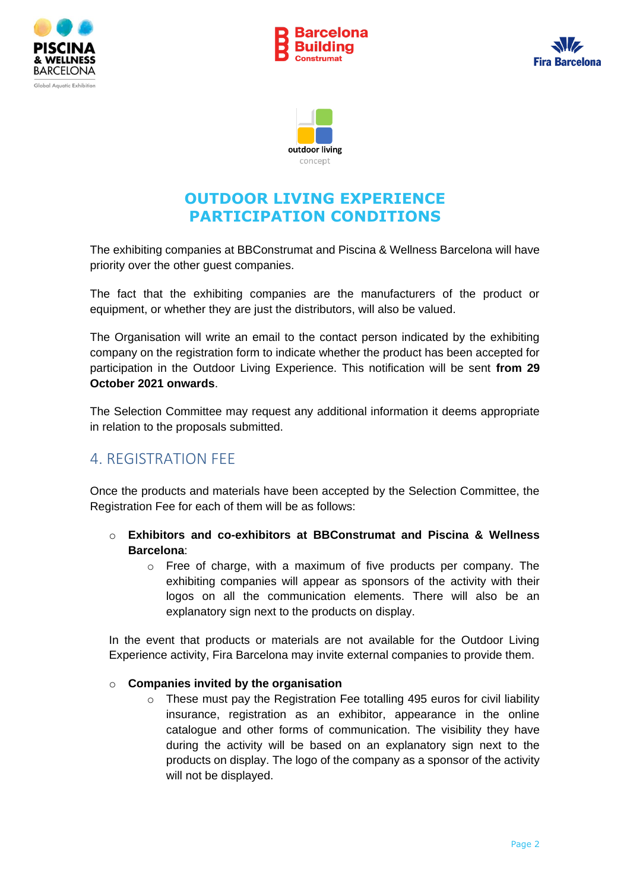







The exhibiting companies at BBConstrumat and Piscina & Wellness Barcelona will have priority over the other guest companies.

The fact that the exhibiting companies are the manufacturers of the product or equipment, or whether they are just the distributors, will also be valued.

The Organisation will write an email to the contact person indicated by the exhibiting company on the registration form to indicate whether the product has been accepted for participation in the Outdoor Living Experience. This notification will be sent **from 29 October 2021 onwards**.

The Selection Committee may request any additional information it deems appropriate in relation to the proposals submitted.

### 4. REGISTRATION FEE

Once the products and materials have been accepted by the Selection Committee, the Registration Fee for each of them will be as follows:

- o **Exhibitors and co-exhibitors at BBConstrumat and Piscina & Wellness Barcelona**:
	- $\circ$  Free of charge, with a maximum of five products per company. The exhibiting companies will appear as sponsors of the activity with their logos on all the communication elements. There will also be an explanatory sign next to the products on display.

In the event that products or materials are not available for the Outdoor Living Experience activity, Fira Barcelona may invite external companies to provide them.

#### o **Companies invited by the organisation**

o These must pay the Registration Fee totalling 495 euros for civil liability insurance, registration as an exhibitor, appearance in the online catalogue and other forms of communication. The visibility they have during the activity will be based on an explanatory sign next to the products on display. The logo of the company as a sponsor of the activity will not be displayed.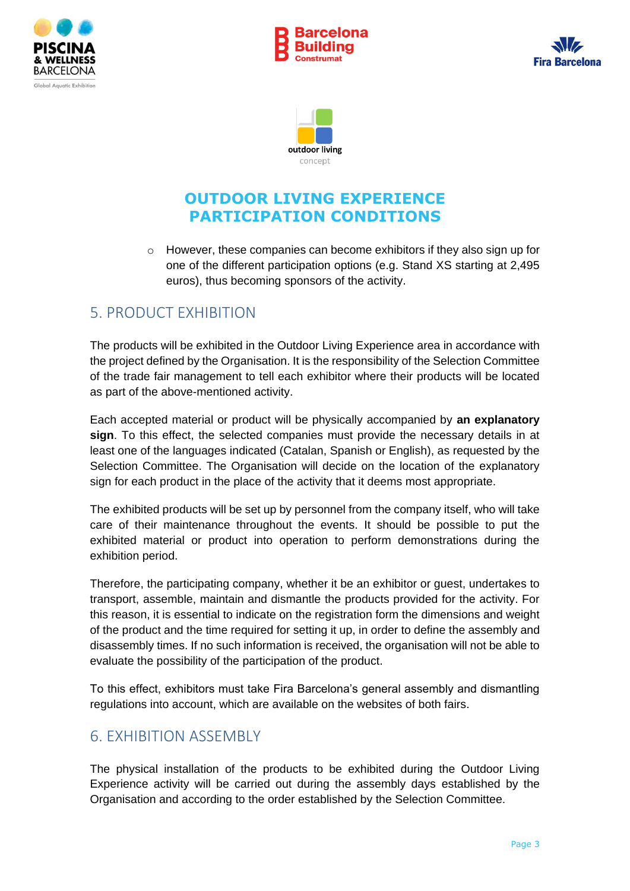







o However, these companies can become exhibitors if they also sign up for one of the different participation options (e.g. Stand XS starting at 2,495 euros), thus becoming sponsors of the activity.

#### 5. PRODUCT EXHIBITION

The products will be exhibited in the Outdoor Living Experience area in accordance with the project defined by the Organisation. It is the responsibility of the Selection Committee of the trade fair management to tell each exhibitor where their products will be located as part of the above-mentioned activity.

Each accepted material or product will be physically accompanied by **an explanatory sign**. To this effect, the selected companies must provide the necessary details in at least one of the languages indicated (Catalan, Spanish or English), as requested by the Selection Committee. The Organisation will decide on the location of the explanatory sign for each product in the place of the activity that it deems most appropriate.

The exhibited products will be set up by personnel from the company itself, who will take care of their maintenance throughout the events. It should be possible to put the exhibited material or product into operation to perform demonstrations during the exhibition period.

Therefore, the participating company, whether it be an exhibitor or guest, undertakes to transport, assemble, maintain and dismantle the products provided for the activity. For this reason, it is essential to indicate on the registration form the dimensions and weight of the product and the time required for setting it up, in order to define the assembly and disassembly times. If no such information is received, the organisation will not be able to evaluate the possibility of the participation of the product.

To this effect, exhibitors must take Fira Barcelona's general assembly and dismantling regulations into account, which are available on the websites of both fairs.

### 6. EXHIBITION ASSEMBLY

The physical installation of the products to be exhibited during the Outdoor Living Experience activity will be carried out during the assembly days established by the Organisation and according to the order established by the Selection Committee.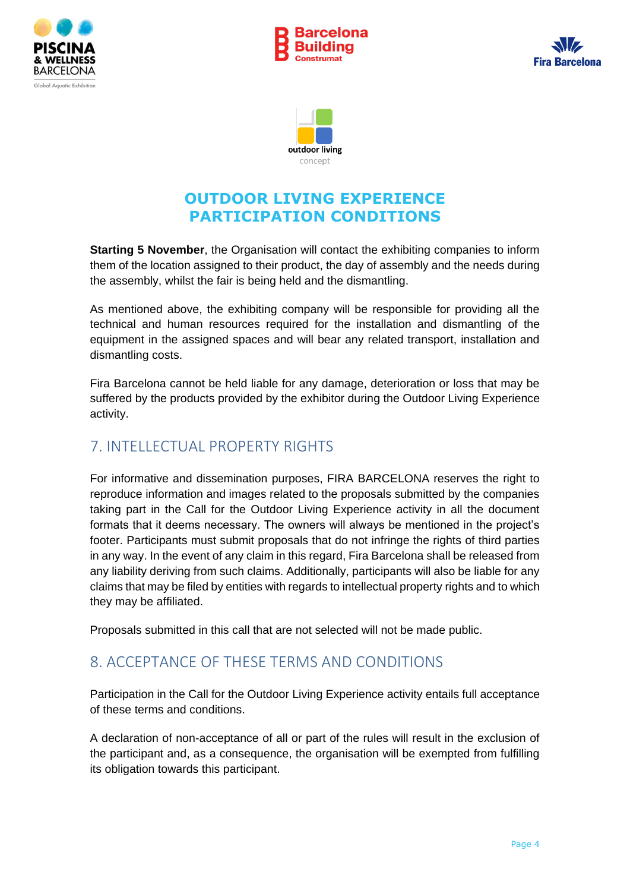







**Starting 5 November**, the Organisation will contact the exhibiting companies to inform them of the location assigned to their product, the day of assembly and the needs during the assembly, whilst the fair is being held and the dismantling.

As mentioned above, the exhibiting company will be responsible for providing all the technical and human resources required for the installation and dismantling of the equipment in the assigned spaces and will bear any related transport, installation and dismantling costs.

Fira Barcelona cannot be held liable for any damage, deterioration or loss that may be suffered by the products provided by the exhibitor during the Outdoor Living Experience activity.

### 7. INTELLECTUAL PROPERTY RIGHTS

For informative and dissemination purposes, FIRA BARCELONA reserves the right to reproduce information and images related to the proposals submitted by the companies taking part in the Call for the Outdoor Living Experience activity in all the document formats that it deems necessary. The owners will always be mentioned in the project's footer. Participants must submit proposals that do not infringe the rights of third parties in any way. In the event of any claim in this regard, Fira Barcelona shall be released from any liability deriving from such claims. Additionally, participants will also be liable for any claims that may be filed by entities with regards to intellectual property rights and to which they may be affiliated.

Proposals submitted in this call that are not selected will not be made public.

#### 8. ACCEPTANCE OF THESE TERMS AND CONDITIONS

Participation in the Call for the Outdoor Living Experience activity entails full acceptance of these terms and conditions.

A declaration of non-acceptance of all or part of the rules will result in the exclusion of the participant and, as a consequence, the organisation will be exempted from fulfilling its obligation towards this participant.